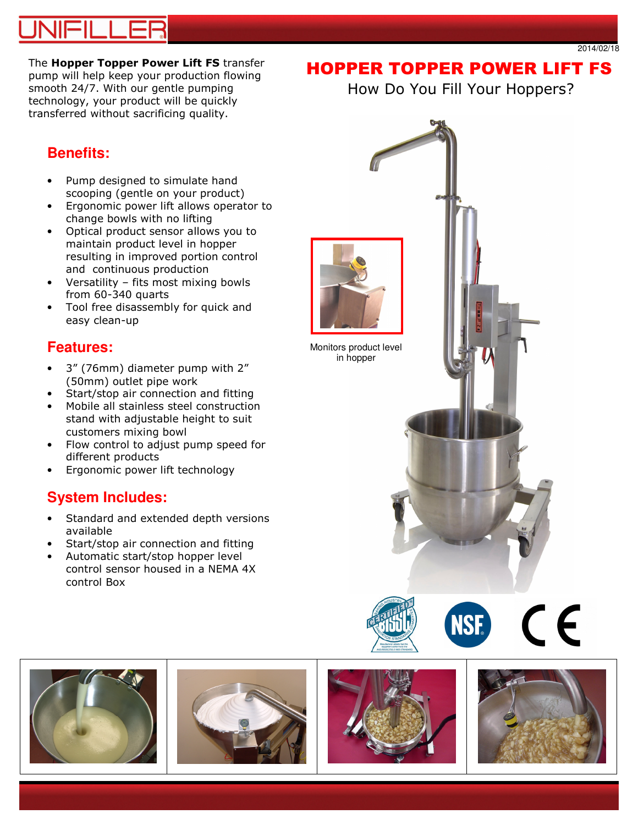# 11-11 L

2014/02/18

The Hopper Topper Power Lift FS transfer pump will help keep your production flowing smooth 24/7. With our gentle pumping technology, your product will be quickly transferred without sacrificing quality.

# HOPPER TOPPER POWER LIFT FS

How Do You Fill Your Hoppers?

## **Benefits:**

- Pump designed to simulate hand scooping (gentle on your product)
- Ergonomic power lift allows operator to change bowls with no lifting
- Optical product sensor allows you to maintain product level in hopper resulting in improved portion control and continuous production
- Versatility fits most mixing bowls from 60-340 quarts
- Tool free disassembly for quick and easy clean-up

## **Features:**

- 3" (76mm) diameter pump with 2" (50mm) outlet pipe work
- Start/stop air connection and fitting
- Mobile all stainless steel construction stand with adjustable height to suit customers mixing bowl
- Flow control to adjust pump speed for different products
- Ergonomic power lift technology

## **System Includes:**

- Standard and extended depth versions available
- Start/stop air connection and fitting
- Automatic start/stop hopper level control sensor housed in a NEMA 4X control Box